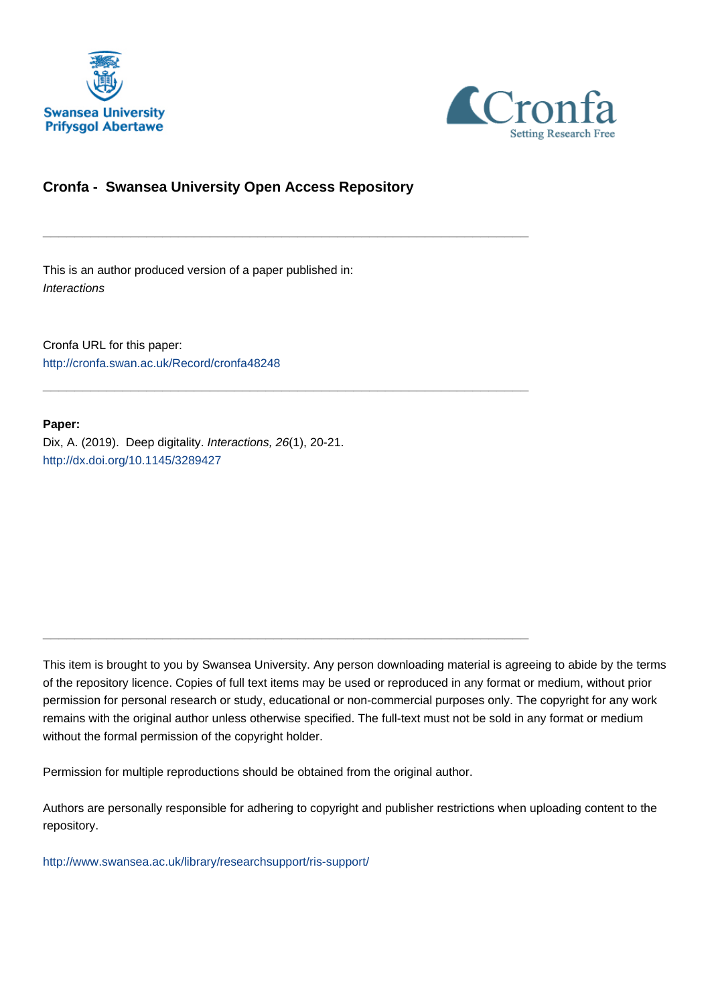



### **Cronfa - Swansea University Open Access Repository**

\_\_\_\_\_\_\_\_\_\_\_\_\_\_\_\_\_\_\_\_\_\_\_\_\_\_\_\_\_\_\_\_\_\_\_\_\_\_\_\_\_\_\_\_\_\_\_\_\_\_\_\_\_\_\_\_\_\_\_\_\_

\_\_\_\_\_\_\_\_\_\_\_\_\_\_\_\_\_\_\_\_\_\_\_\_\_\_\_\_\_\_\_\_\_\_\_\_\_\_\_\_\_\_\_\_\_\_\_\_\_\_\_\_\_\_\_\_\_\_\_\_\_

 $\_$  , and the set of the set of the set of the set of the set of the set of the set of the set of the set of the set of the set of the set of the set of the set of the set of the set of the set of the set of the set of th

This is an author produced version of a paper published in: **Interactions** 

Cronfa URL for this paper: <http://cronfa.swan.ac.uk/Record/cronfa48248>

#### **Paper:**

Dix, A. (2019). Deep digitality. Interactions, 26(1), 20-21. <http://dx.doi.org/10.1145/3289427>

This item is brought to you by Swansea University. Any person downloading material is agreeing to abide by the terms of the repository licence. Copies of full text items may be used or reproduced in any format or medium, without prior permission for personal research or study, educational or non-commercial purposes only. The copyright for any work remains with the original author unless otherwise specified. The full-text must not be sold in any format or medium without the formal permission of the copyright holder.

Permission for multiple reproductions should be obtained from the original author.

Authors are personally responsible for adhering to copyright and publisher restrictions when uploading content to the repository.

[http://www.swansea.ac.uk/library/researchsupport/ris-support/](http://www.swansea.ac.uk/library/researchsupport/ris-support/ )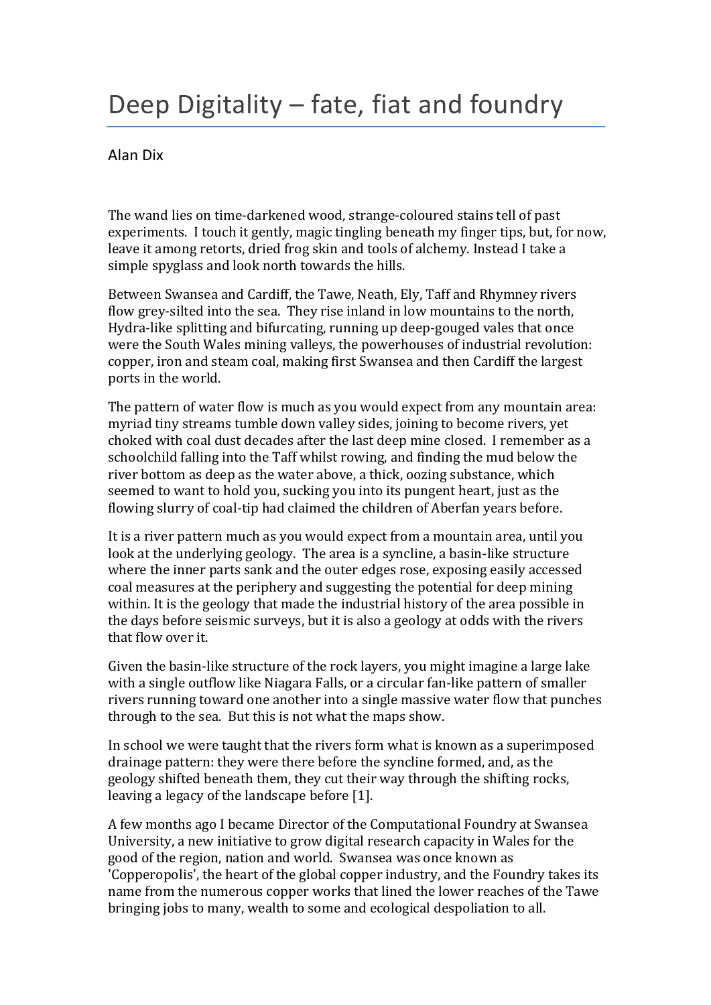# Deep Digitality – fate, fiat and foundry

## Alan Dix

The wand lies on time-darkened wood, strange-coloured stains tell of past experiments. I touch it gently, magic tingling beneath my finger tips, but, for now, leave it among retorts, dried frog skin and tools of alchemy. Instead I take a simple spyglass and look north towards the hills.

Between Swansea and Cardiff, the Tawe, Neath, Ely, Taff and Rhymney rivers flow grey-silted into the sea. They rise inland in low mountains to the north, Hydra-like splitting and bifurcating, running up deep-gouged vales that once were the South Wales mining valleys, the powerhouses of industrial revolution: copper, iron and steam coal, making first Swansea and then Cardiff the largest ports in the world.

The pattern of water flow is much as you would expect from any mountain area: myriad tiny streams tumble down valley sides, joining to become rivers, yet choked with coal dust decades after the last deep mine closed. I remember as a schoolchild falling into the Taff whilst rowing, and finding the mud below the river bottom as deep as the water above, a thick, oozing substance, which seemed to want to hold you, sucking you into its pungent heart, just as the flowing slurry of coal-tip had claimed the children of Aberfan years before.

It is a river pattern much as you would expect from a mountain area, until you look at the underlying geology. The area is a syncline, a basin-like structure where the inner parts sank and the outer edges rose, exposing easily accessed coal measures at the periphery and suggesting the potential for deep mining within. It is the geology that made the industrial history of the area possible in the days before seismic surveys, but it is also a geology at odds with the rivers that flow over it.

Given the basin-like structure of the rock layers, you might imagine a large lake with a single outflow like Niagara Falls, or a circular fan-like pattern of smaller rivers running toward one another into a single massive water flow that punches through to the sea. But this is not what the maps show.

In school we were taught that the rivers form what is known as a superimposed drainage pattern: they were there before the syncline formed, and, as the geology shifted beneath them, they cut their way through the shifting rocks, leaving a legacy of the landscape before [1].

A few months ago I became Director of the Computational Foundry at Swansea University, a new initiative to grow digital research capacity in Wales for the good of the region, nation and world. Swansea was once known as 'Copperopolis', the heart of the global copper industry, and the Foundry takes its name from the numerous copper works that lined the lower reaches of the Tawe bringing jobs to many, wealth to some and ecological despoliation to all.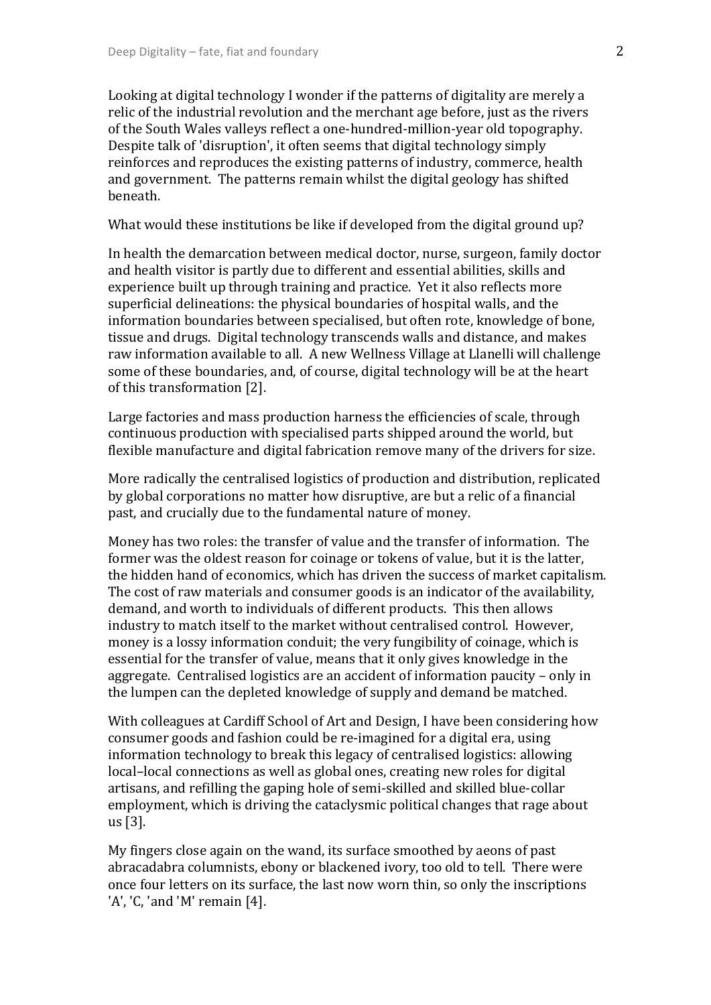Looking at digital technology I wonder if the patterns of digitality are merely a relic of the industrial revolution and the merchant age before, just as the rivers of the South Wales valleys reflect a one-hundred-million-year old topography. Despite talk of 'disruption', it often seems that digital technology simply reinforces and reproduces the existing patterns of industry, commerce, health and government. The patterns remain whilst the digital geology has shifted beneath.

What would these institutions be like if developed from the digital ground up?

In health the demarcation between medical doctor, nurse, surgeon, family doctor and health visitor is partly due to different and essential abilities, skills and experience built up through training and practice. Yet it also reflects more superficial delineations: the physical boundaries of hospital walls, and the information boundaries between specialised, but often rote, knowledge of bone, tissue and drugs. Digital technology transcends walls and distance, and makes raw information available to all. A new Wellness Village at Llanelli will challenge some of these boundaries, and, of course, digital technology will be at the heart of this transformation [2].

Large factories and mass production harness the efficiencies of scale, through continuous production with specialised parts shipped around the world, but flexible manufacture and digital fabrication remove many of the drivers for size.

More radically the centralised logistics of production and distribution, replicated by global corporations no matter how disruptive, are but a relic of a financial past, and crucially due to the fundamental nature of money.

Money has two roles: the transfer of value and the transfer of information. The former was the oldest reason for coinage or tokens of value, but it is the latter, the hidden hand of economics, which has driven the success of market capitalism. The cost of raw materials and consumer goods is an indicator of the availability, demand, and worth to individuals of different products. This then allows industry to match itself to the market without centralised control. However, money is a lossy information conduit; the very fungibility of coinage, which is essential for the transfer of value, means that it only gives knowledge in the aggregate. Centralised logistics are an accident of information paucity  $-$  only in the lumpen can the depleted knowledge of supply and demand be matched.

With colleagues at Cardiff School of Art and Design, I have been considering how consumer goods and fashion could be re-imagined for a digital era, using information technology to break this legacy of centralised logistics: allowing local-local connections as well as global ones, creating new roles for digital artisans, and refilling the gaping hole of semi-skilled and skilled blue-collar employment, which is driving the cataclysmic political changes that rage about us [3].

My fingers close again on the wand, its surface smoothed by aeons of past abracadabra columnists, ebony or blackened ivory, too old to tell. There were once four letters on its surface, the last now worn thin, so only the inscriptions 'A', 'C, 'and 'M' remain  $[4]$ .